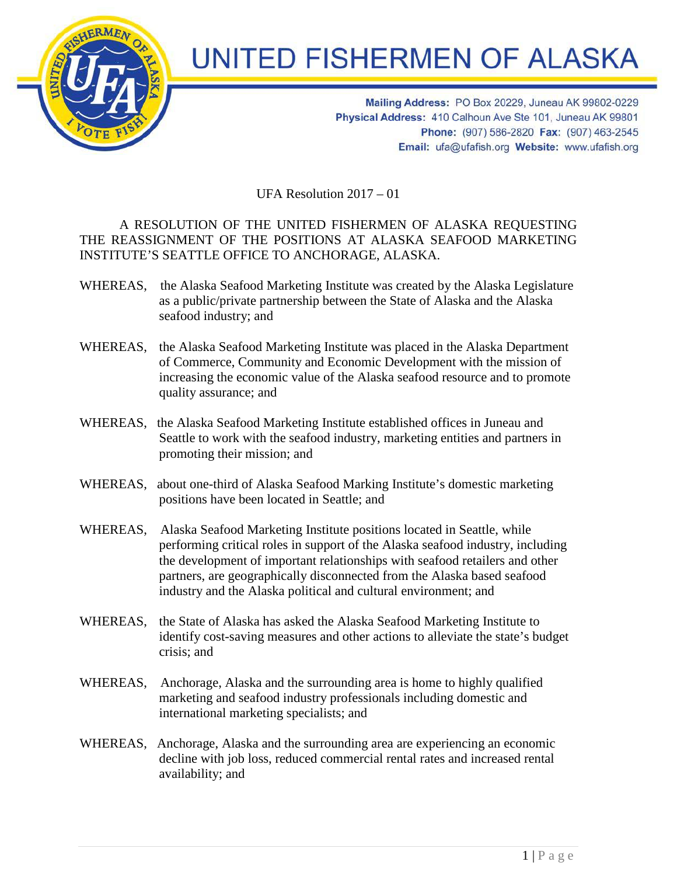

## **UNITED FISHERMEN OF ALASKA**

Mailing Address: PO Box 20229, Juneau AK 99802-0229 Physical Address: 410 Calhoun Ave Ste 101, Juneau AK 99801 Phone: (907) 586-2820 Fax: (907) 463-2545 Email: ufa@ufafish.org Website: www.ufafish.org

UFA Resolution 2017 – 01

## A RESOLUTION OF THE UNITED FISHERMEN OF ALASKA REQUESTING THE REASSIGNMENT OF THE POSITIONS AT ALASKA SEAFOOD MARKETING INSTITUTE'S SEATTLE OFFICE TO ANCHORAGE, ALASKA.

- WHEREAS, the Alaska Seafood Marketing Institute was created by the Alaska Legislature as a public/private partnership between the State of Alaska and the Alaska seafood industry; and
- WHEREAS, the Alaska Seafood Marketing Institute was placed in the Alaska Department of Commerce, Community and Economic Development with the mission of increasing the economic value of the Alaska seafood resource and to promote quality assurance; and
- WHEREAS, the Alaska Seafood Marketing Institute established offices in Juneau and Seattle to work with the seafood industry, marketing entities and partners in promoting their mission; and
- WHEREAS, about one-third of Alaska Seafood Marking Institute's domestic marketing positions have been located in Seattle; and
- WHEREAS, Alaska Seafood Marketing Institute positions located in Seattle, while performing critical roles in support of the Alaska seafood industry, including the development of important relationships with seafood retailers and other partners, are geographically disconnected from the Alaska based seafood industry and the Alaska political and cultural environment; and
- WHEREAS, the State of Alaska has asked the Alaska Seafood Marketing Institute to identify cost-saving measures and other actions to alleviate the state's budget crisis; and
- WHEREAS, Anchorage, Alaska and the surrounding area is home to highly qualified marketing and seafood industry professionals including domestic and international marketing specialists; and
- WHEREAS, Anchorage, Alaska and the surrounding area are experiencing an economic decline with job loss, reduced commercial rental rates and increased rental availability; and